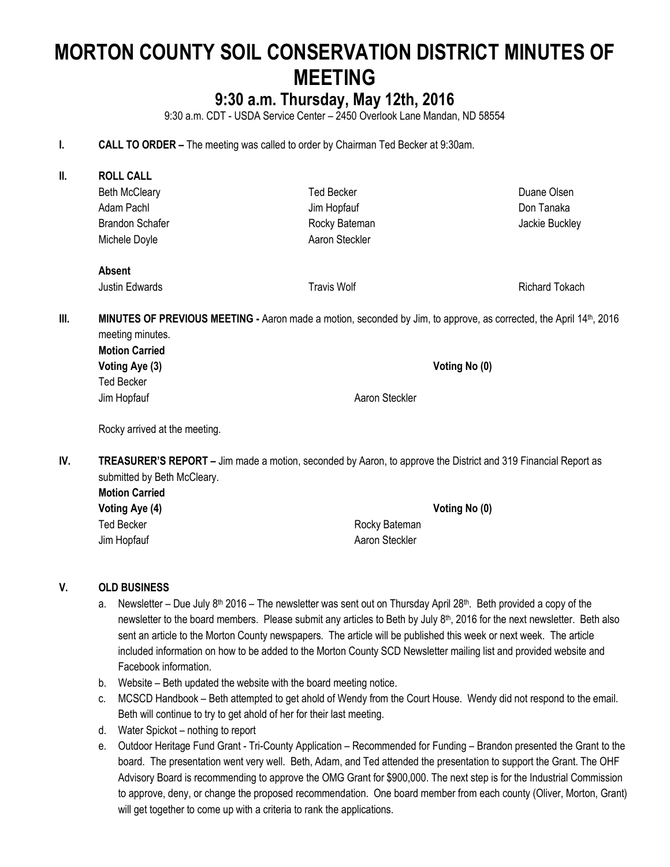# **MORTON COUNTY SOIL CONSERVATION DISTRICT MINUTES OF MEETING**

# **9:30 a.m. Thursday, May 12th, 2016**

9:30 a.m. CDT - USDA Service Center – 2450 Overlook Lane Mandan, ND 58554

**I. CALL TO ORDER –** The meeting was called to order by Chairman Ted Becker at 9:30am.

| Ш.   | <b>ROLL CALL</b>                                                                                                                       |                    |                |  |
|------|----------------------------------------------------------------------------------------------------------------------------------------|--------------------|----------------|--|
|      | <b>Beth McCleary</b>                                                                                                                   | <b>Ted Becker</b>  | Duane Olsen    |  |
|      | Adam Pachl                                                                                                                             | Jim Hopfauf        | Don Tanaka     |  |
|      | <b>Brandon Schafer</b>                                                                                                                 | Rocky Bateman      | Jackie Buckley |  |
|      | Michele Doyle                                                                                                                          | Aaron Steckler     |                |  |
|      | <b>Absent</b>                                                                                                                          |                    |                |  |
|      | Justin Edwards                                                                                                                         | <b>Travis Wolf</b> | Richard Tokach |  |
| III. | MINUTES OF PREVIOUS MEETING - Aaron made a motion, seconded by Jim, to approve, as corrected, the April 14th, 2016<br>meeting minutes. |                    |                |  |
|      | <b>Motion Carried</b>                                                                                                                  |                    |                |  |
|      | Voting Aye (3)                                                                                                                         |                    | Voting No (0)  |  |
|      | <b>Ted Becker</b>                                                                                                                      |                    |                |  |
|      | Jim Hopfauf                                                                                                                            | Aaron Steckler     |                |  |
|      |                                                                                                                                        |                    |                |  |

Rocky arrived at the meeting.

**IV. TREASURER'S REPORT –** Jim made a motion, seconded by Aaron, to approve the District and 319 Financial Report as submitted by Beth McCleary.

| <b>Motion Carried</b> |                |
|-----------------------|----------------|
| Voting Aye (4)        | Voting No (0)  |
| Ted Becker            | Rocky Bateman  |
| Jim Hopfauf           | Aaron Steckler |

#### **V. OLD BUSINESS**

- a. Newsletter Due July 8<sup>th</sup> 2016 The newsletter was sent out on Thursday April 28<sup>th</sup>. Beth provided a copy of the newsletter to the board members. Please submit any articles to Beth by July  $8<sup>th</sup>$ , 2016 for the next newsletter. Beth also sent an article to the Morton County newspapers. The article will be published this week or next week. The article included information on how to be added to the Morton County SCD Newsletter mailing list and provided website and Facebook information.
- b. Website Beth updated the website with the board meeting notice.
- c. MCSCD Handbook Beth attempted to get ahold of Wendy from the Court House. Wendy did not respond to the email. Beth will continue to try to get ahold of her for their last meeting.
- d. Water Spickot nothing to report
- e. Outdoor Heritage Fund Grant Tri-County Application Recommended for Funding Brandon presented the Grant to the board. The presentation went very well. Beth, Adam, and Ted attended the presentation to support the Grant. The OHF Advisory Board is recommending to approve the OMG Grant for \$900,000. The next step is for the Industrial Commission to approve, deny, or change the proposed recommendation. One board member from each county (Oliver, Morton, Grant) will get together to come up with a criteria to rank the applications.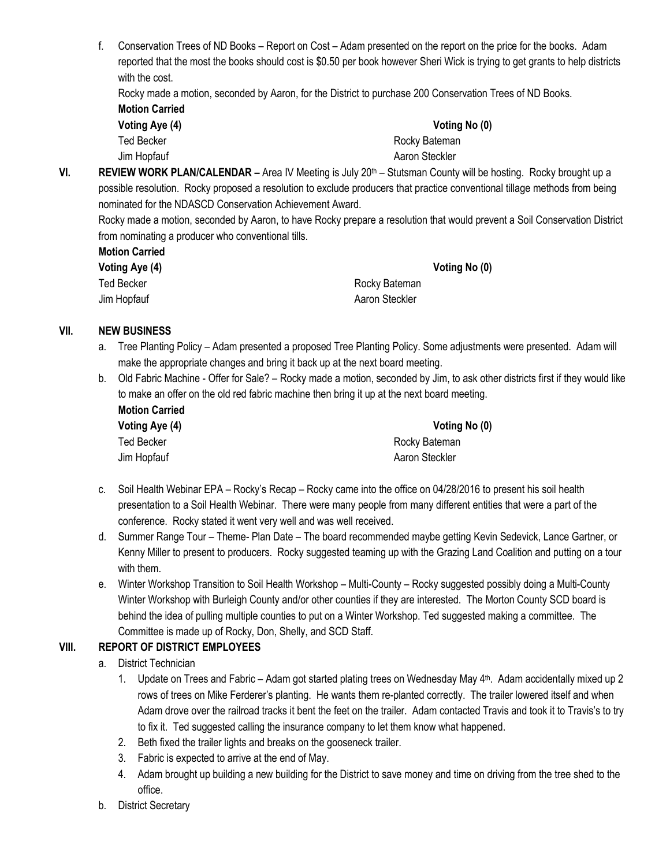f. Conservation Trees of ND Books – Report on Cost – Adam presented on the report on the price for the books. Adam reported that the most the books should cost is \$0.50 per book however Sheri Wick is trying to get grants to help districts with the cost.

Rocky made a motion, seconded by Aaron, for the District to purchase 200 Conservation Trees of ND Books. **Motion Carried**

| Voting Aye (4) | Voting No (0)  |
|----------------|----------------|
| Ted Becker     | Rocky Bateman  |
| Jim Hopfauf    | Aaron Steckler |

**VI. REVIEW WORK PLAN/CALENDAR –** Area IV Meeting is July 20th – Stutsman County will be hosting. Rocky brought up a possible resolution. Rocky proposed a resolution to exclude producers that practice conventional tillage methods from being nominated for the NDASCD Conservation Achievement Award.

Rocky made a motion, seconded by Aaron, to have Rocky prepare a resolution that would prevent a Soil Conservation District from nominating a producer who conventional tills.

| <b>Motion Carried</b> |  |
|-----------------------|--|
|                       |  |

| <b>Voting Aye (4</b> |  |
|----------------------|--|
| <b>Ied Becker</b>    |  |
| Jim Honfauf          |  |

**Voting Aye (4) Voting No (0)**

Rocky Bateman Iopfauf Aaron Steckler

## **VII. NEW BUSINESS**

- a. Tree Planting Policy Adam presented a proposed Tree Planting Policy. Some adjustments were presented. Adam will make the appropriate changes and bring it back up at the next board meeting.
- b. Old Fabric Machine Offer for Sale? Rocky made a motion, seconded by Jim, to ask other districts first if they would like to make an offer on the old red fabric machine then bring it up at the next board meeting. **Motion Carried**

| <b>MUNUT VALLEY</b> |                |
|---------------------|----------------|
| Voting Aye (4)      | Votin          |
| Ted Becker          | Rocky Batemar  |
| Jim Hopfauf         | Aaron Steckler |

**Voting Aye (4) Voting No (0)** Rocky Bateman

- c. Soil Health Webinar EPA Rocky's Recap Rocky came into the office on 04/28/2016 to present his soil health presentation to a Soil Health Webinar. There were many people from many different entities that were a part of the conference. Rocky stated it went very well and was well received.
- d. Summer Range Tour Theme- Plan Date The board recommended maybe getting Kevin Sedevick, Lance Gartner, or Kenny Miller to present to producers. Rocky suggested teaming up with the Grazing Land Coalition and putting on a tour with them.
- e. Winter Workshop Transition to Soil Health Workshop Multi-County Rocky suggested possibly doing a Multi-County Winter Workshop with Burleigh County and/or other counties if they are interested. The Morton County SCD board is behind the idea of pulling multiple counties to put on a Winter Workshop. Ted suggested making a committee. The Committee is made up of Rocky, Don, Shelly, and SCD Staff.

### **VIII. REPORT OF DISTRICT EMPLOYEES**

- a. District Technician
	- 1. Update on Trees and Fabric Adam got started plating trees on Wednesday May 4th. Adam accidentally mixed up 2 rows of trees on Mike Ferderer's planting. He wants them re-planted correctly. The trailer lowered itself and when Adam drove over the railroad tracks it bent the feet on the trailer. Adam contacted Travis and took it to Travis's to try to fix it. Ted suggested calling the insurance company to let them know what happened.
	- 2. Beth fixed the trailer lights and breaks on the gooseneck trailer.
	- 3. Fabric is expected to arrive at the end of May.
	- 4. Adam brought up building a new building for the District to save money and time on driving from the tree shed to the office.
- b. District Secretary